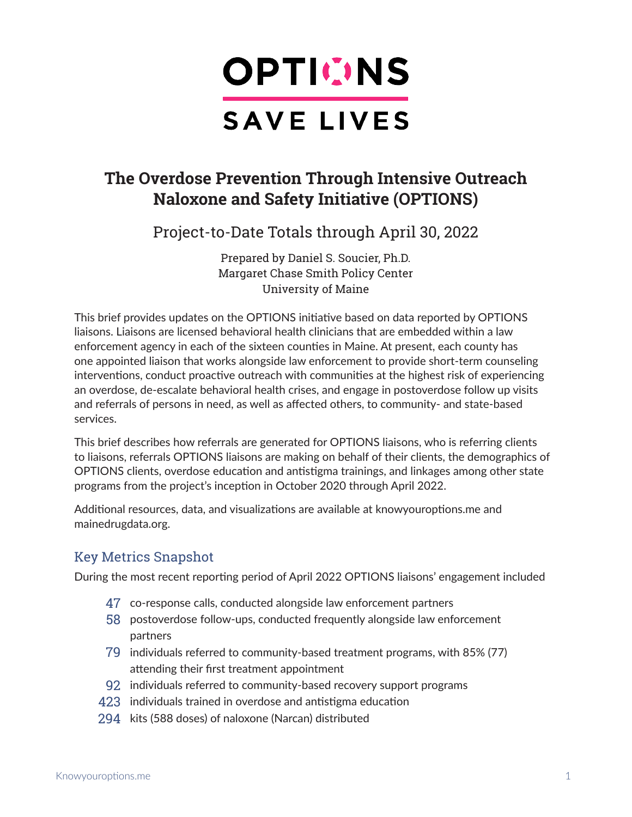

# **The Overdose Prevention Through Intensive Outreach Naloxone and Safety Initiative (OPTIONS)**

Project-to-Date Totals through April 30, 2022

Prepared by Daniel S. Soucier, Ph.D. Margaret Chase Smith Policy Center University of Maine

This brief provides updates on the OPTIONS initiative based on data reported by OPTIONS liaisons. Liaisons are licensed behavioral health clinicians that are embedded within a law enforcement agency in each of the sixteen counties in Maine. At present, each county has one appointed liaison that works alongside law enforcement to provide short-term counseling interventions, conduct proactive outreach with communities at the highest risk of experiencing an overdose, de-escalate behavioral health crises, and engage in postoverdose follow up visits and referrals of persons in need, as well as affected others, to community- and state-based services.

This brief describes how referrals are generated for OPTIONS liaisons, who is referring clients to liaisons, referrals OPTIONS liaisons are making on behalf of their clients, the demographics of OPTIONS clients, overdose education and antistigma trainings, and linkages among other state programs from the project's inception in October 2020 through April 2022.

Additional resources, data, and visualizations are available at knowyouroptions.me and mainedrugdata.org.

# Key Metrics Snapshot

During the most recent reporting period of April 2022 OPTIONS liaisons' engagement included

- 47 co-response calls, conducted alongside law enforcement partners
- 58 postoverdose follow-ups, conducted frequently alongside law enforcement partners
- 79 individuals referred to community-based treatment programs, with 85% (77) attending their first treatment appointment
- 92 individuals referred to community-based recovery support programs
- 423 individuals trained in overdose and antistigma education
- 294 kits (588 doses) of naloxone (Narcan) distributed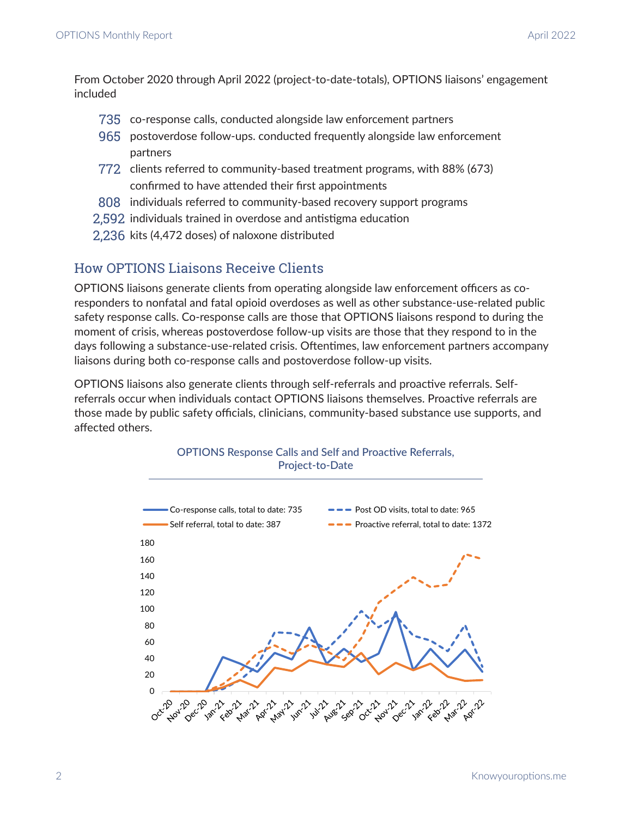From October 2020 through April 2022 (project-to-date-totals), OPTIONS liaisons' engagement included

- 735 co-response calls, conducted alongside law enforcement partners
- 965 postoverdose follow-ups. conducted frequently alongside law enforcement partners
- 772 clients referred to community-based treatment programs, with 88% (673) confirmed to have attended their first appointments
- 808 individuals referred to community-based recovery support programs
- 2,592 individuals trained in overdose and antistigma education
- 2,236 kits (4,472 doses) of naloxone distributed

# How OPTIONS Liaisons Receive Clients

OPTIONS liaisons generate clients from operating alongside law enforcement officers as coresponders to nonfatal and fatal opioid overdoses as well as other substance-use-related public safety response calls. Co-response calls are those that OPTIONS liaisons respond to during the moment of crisis, whereas postoverdose follow-up visits are those that they respond to in the days following a substance-use-related crisis. Oftentimes, law enforcement partners accompany liaisons during both co-response calls and postoverdose follow-up visits.

OPTIONS liaisons also generate clients through self-referrals and proactive referrals. Selfreferrals occur when individuals contact OPTIONS liaisons themselves. Proactive referrals are those made by public safety officials, clinicians, community-based substance use supports, and affected others.

OPTIONS Response Calls and Self and Proactive Referrals,



2 Knowyouroptions.me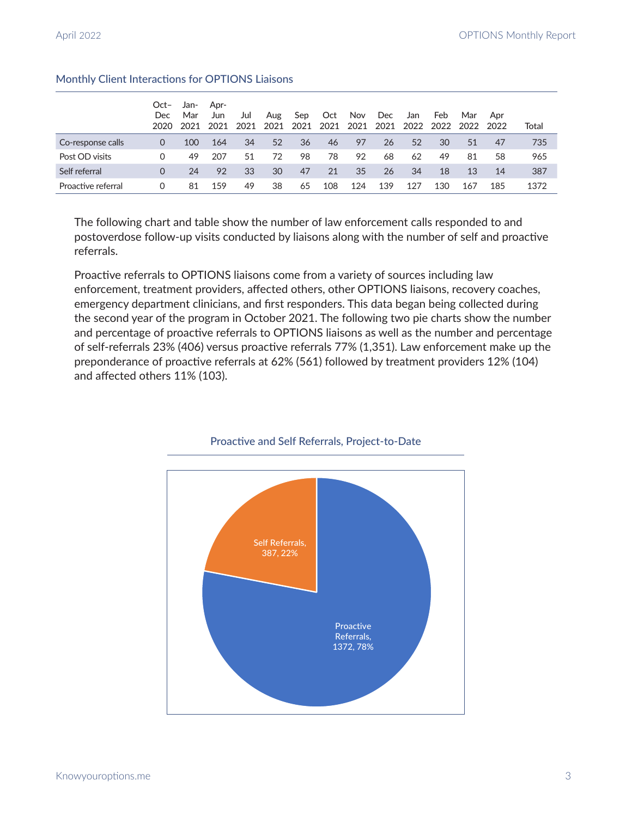|                    | $Oct-$<br>Dec<br>2020 | Jan-<br>Mar<br>2021 | Apr-<br>Jun<br>2021 | Jul<br>2021 | Aug<br>2021 | Sep<br>2021 | Oct<br>2021 | Nov<br>2021 | Dec<br>2021 | Jan<br>2022 | Feb<br>2022 | Mar<br>2022 | Apr<br>2022 | Total |
|--------------------|-----------------------|---------------------|---------------------|-------------|-------------|-------------|-------------|-------------|-------------|-------------|-------------|-------------|-------------|-------|
| Co-response calls  | $\Omega$              | 100                 | 164                 | 34          | 52          | 36          | 46          | 97          | 26          | 52          | 30          | 51          | 47          | 735   |
| Post OD visits     | $\Omega$              | 49                  | 207                 | 51          | 72          | 98          | 78          | 92          | 68          | 62          | 49          | 81          | 58          | 965   |
| Self referral      | $\Omega$              | 24                  | 92                  | 33          | 30          | 47          | 21          | 35          | 26          | 34          | 18          | 13          | 14          | 387   |
| Proactive referral | $\Omega$              | 81                  | 159                 | 49          | 38          | 65          | 108         | 124         | 139         | 127         | 130         | 167         | 185         | 1372  |

## Monthly Client Interactions for OPTIONS Liaisons

The following chart and table show the number of law enforcement calls responded to and postoverdose follow-up visits conducted by liaisons along with the number of self and proactive referrals.

Proactive referrals to OPTIONS liaisons come from a variety of sources including law enforcement, treatment providers, affected others, other OPTIONS liaisons, recovery coaches, emergency department clinicians, and first responders. This data began being collected during the second year of the program in October 2021. The following two pie charts show the number and percentage of proactive referrals to OPTIONS liaisons as well as the number and percentage of self-referrals 23% (406) versus proactive referrals 77% (1,351). Law enforcement make up the preponderance of proactive referrals at 62% (561) followed by treatment providers 12% (104) and affected others 11% (103).



#### Proactive and Self Referrals, Project-to-Date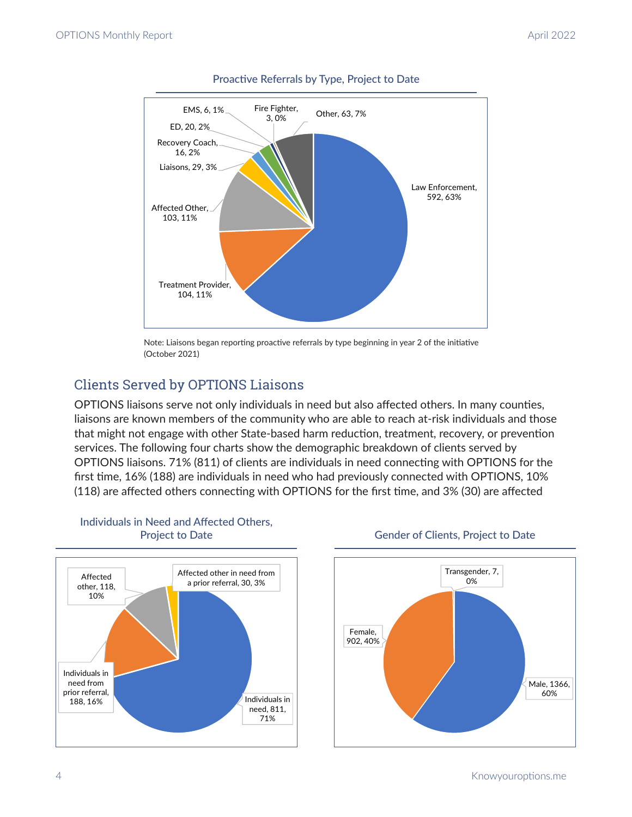

# Proactive Referrals by Type, Project to Date

Note: Liaisons began reporting proactive referrals by type beginning in year 2 of the initiative (October 2021)

# Clients Served by OPTIONS Liaisons

OPTIONS liaisons serve not only individuals in need but also affected others. In many counties, liaisons are known members of the community who are able to reach at-risk individuals and those that might not engage with other State-based harm reduction, treatment, recovery, or prevention services. The following four charts show the demographic breakdown of clients served by OPTIONS liaisons. 71% (811) of clients are individuals in need connecting with OPTIONS for the first time, 16% (188) are individuals in need who had previously connected with OPTIONS, 10% (118) are affected others connecting with OPTIONS for the first time, and 3% (30) are affected



# Individuals in Need and Affected Others, Project to Date



## Gender of Clients, Project to Date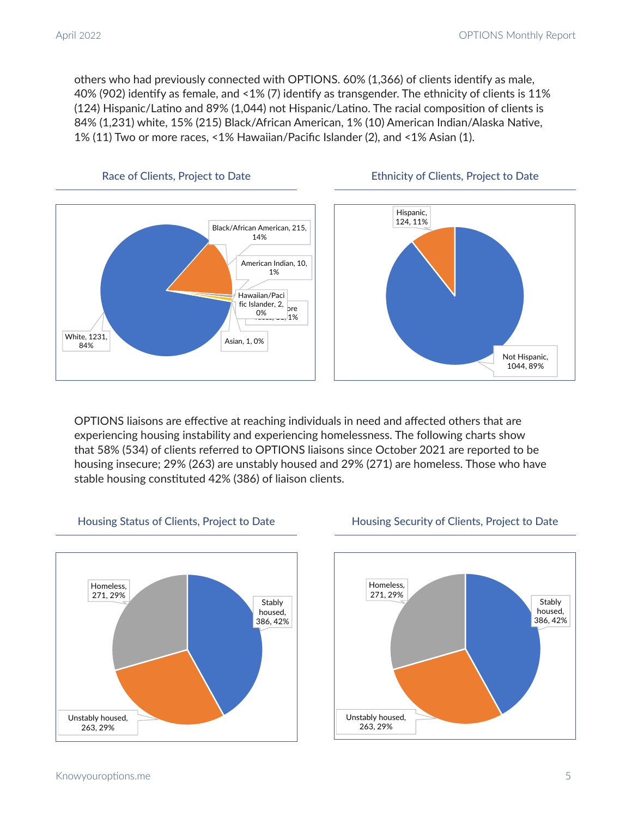others who had previously connected with OPTIONS. 60% (1,366) of clients identify as male, 40% (902) identify as female, and <1% (7) identify as transgender. The ethnicity of clients is 11% (124) Hispanic/Latino and 89% (1,044) not Hispanic/Latino. The racial composition of clients is 84% (1,231) white, 15% (215) Black/African American, 1% (10) American Indian/Alaska Native, 1% (11) Two or more races, <1% Hawaiian/Pacific Islander (2), and <1% Asian (1).







OPTIONS liaisons are effective at reaching individuals in need and affected others that are experiencing housing instability and experiencing homelessness. The following charts show that 58% (534) of clients referred to OPTIONS liaisons since October 2021 are reported to be housing insecure; 29% (263) are unstably housed and 29% (271) are homeless. Those who have stable housing constituted 42% (386) of liaison clients.



# Housing Status of Clients, Project to Date

# Stably housed, 386, 42% Unstably housed, 263, 29% Homeless, 271, 29%

## Housing Security of Clients, Project to Date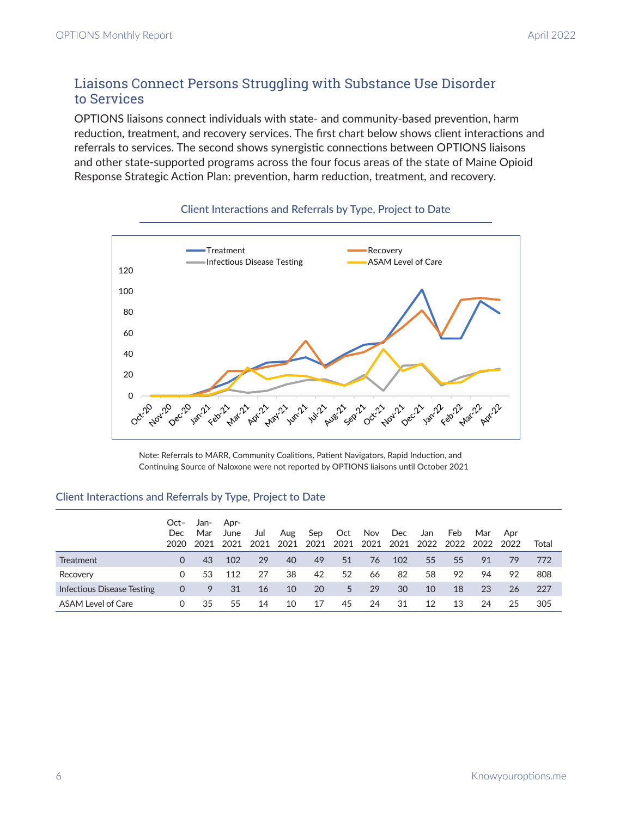# Liaisons Connect Persons Struggling with Substance Use Disorder to Services

OPTIONS liaisons connect individuals with state- and community-based prevention, harm reduction, treatment, and recovery services. The first chart below shows client interactions and referrals to services. The second shows synergistic connections between OPTIONS liaisons and other state-supported programs across the four focus areas of the state of Maine Opioid Response Strategic Action Plan: prevention, harm reduction, treatment, and recovery.



## Client Interactions and Referrals by Type, Project to Date

Note: Referrals to MARR, Community Coalitions, Patient Navigators, Rapid Induction, and Continuing Source of Naloxone were not reported by OPTIONS liaisons until October 2021

## Client Interactions and Referrals by Type, Project to Date

|                            | Oct-<br><b>Dec</b><br>2020 | Jan-<br>Mar<br>2021 | Apr-<br>June<br>2021 | Jul<br>2021 | Aug<br>2021 | Sep<br>2021 | Oct<br>2021 | Nov<br>2021 | Dec<br>2021 | Jan<br>2022 | Feb<br>2022 | Mar<br>2022 | Apr<br>2022 | Total |
|----------------------------|----------------------------|---------------------|----------------------|-------------|-------------|-------------|-------------|-------------|-------------|-------------|-------------|-------------|-------------|-------|
| Treatment                  | 0                          | 43                  | 102                  | 29          | 40          | 49          | 51          | 76          | 102         | 55          | 55          | 91          | 79          | 772   |
| Recovery                   | 0                          | 53                  | 112                  | 27          | 38          | 42          | 52          | 66          | 82          | 58          | 92          | 94          | 92          | 808   |
| Infectious Disease Testing | 0                          | 9                   | 31                   | 16          | 10          | 20          | 5           | 29          | 30          | 10          | 18          | 23          | 26          | 227   |
| ASAM Level of Care         | 0                          | 35                  | 55                   | 14          | 10          | 17          | 45          | 24          | 31          | 12          | 13          | 24          | 25          | 305   |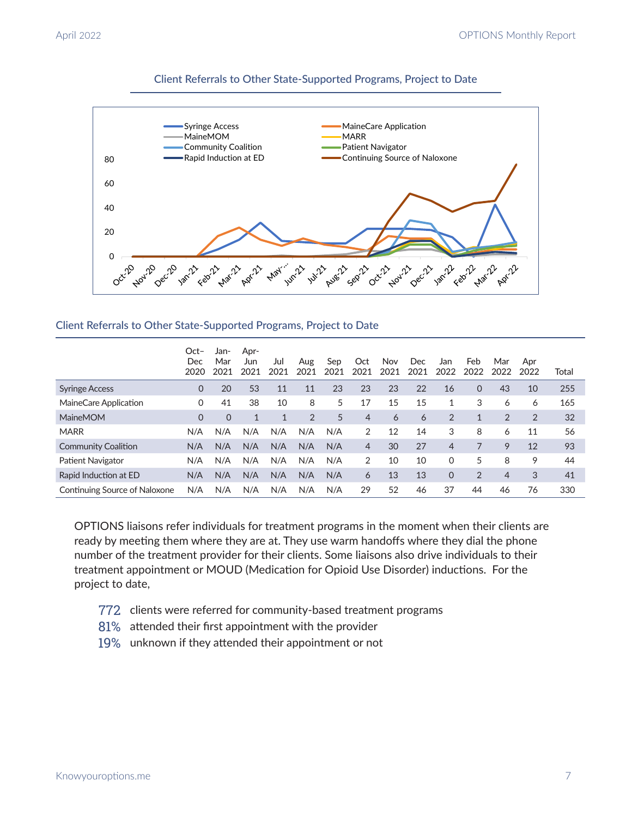

## Client Referrals to Other State-Supported Programs, Project to Date

## Client Referrals to Other State-Supported Programs, Project to Date

|                               | $Oct-$<br>Dec<br>2020 | Jan-<br>Mar<br>2021 | Apr-<br>Jun<br>2021 | Jul<br>2021  | Aug<br>2021 | Sep<br>2021 | Oct<br>2021    | <b>Nov</b><br>2021 | Dec<br>2021 | Jan<br>2022 | Feb<br>2022    | Mar<br>2022 | Apr<br>2022    | Total |
|-------------------------------|-----------------------|---------------------|---------------------|--------------|-------------|-------------|----------------|--------------------|-------------|-------------|----------------|-------------|----------------|-------|
| <b>Syringe Access</b>         | 0                     | 20                  | 53                  | 11           | 11          | 23          | 23             | 23                 | 22          | 16          | $\Omega$       | 43          | 10             | 255   |
| MaineCare Application         | 0                     | 41                  | 38                  | 10           | 8           | 5           | 17             | 15                 | 15          | 1           | 3              | 6           | 6              | 165   |
| <b>MaineMOM</b>               | 0                     | $\Omega$            | $\mathbf{1}$        | $\mathbf{1}$ | 2           | 5           | $\overline{4}$ | 6                  | 6           | 2           | 1              | 2           | $\overline{2}$ | 32    |
| <b>MARR</b>                   | N/A                   | N/A                 | N/A                 | N/A          | N/A         | N/A         | 2              | 12                 | 14          | 3           | 8              | 6           | 11             | 56    |
| <b>Community Coalition</b>    | N/A                   | N/A                 | N/A                 | N/A          | N/A         | N/A         | $\overline{4}$ | 30                 | 27          | 4           | 7              | 9           | 12             | 93    |
| Patient Navigator             | N/A                   | N/A                 | N/A                 | N/A          | N/A         | N/A         | 2              | 10                 | 10          | $\Omega$    | 5              | 8           | 9              | 44    |
| Rapid Induction at ED         | N/A                   | N/A                 | N/A                 | N/A          | N/A         | N/A         | 6              | 13                 | 13          | $\Omega$    | $\overline{2}$ | 4           | 3              | 41    |
| Continuing Source of Naloxone | N/A                   | N/A                 | N/A                 | N/A          | N/A         | N/A         | 29             | 52                 | 46          | 37          | 44             | 46          | 76             | 330   |

OPTIONS liaisons refer individuals for treatment programs in the moment when their clients are ready by meeting them where they are at. They use warm handoffs where they dial the phone number of the treatment provider for their clients. Some liaisons also drive individuals to their treatment appointment or MOUD (Medication for Opioid Use Disorder) inductions. For the project to date,

- 772 clients were referred for community-based treatment programs
- 81% attended their first appointment with the provider
- 19% unknown if they attended their appointment or not